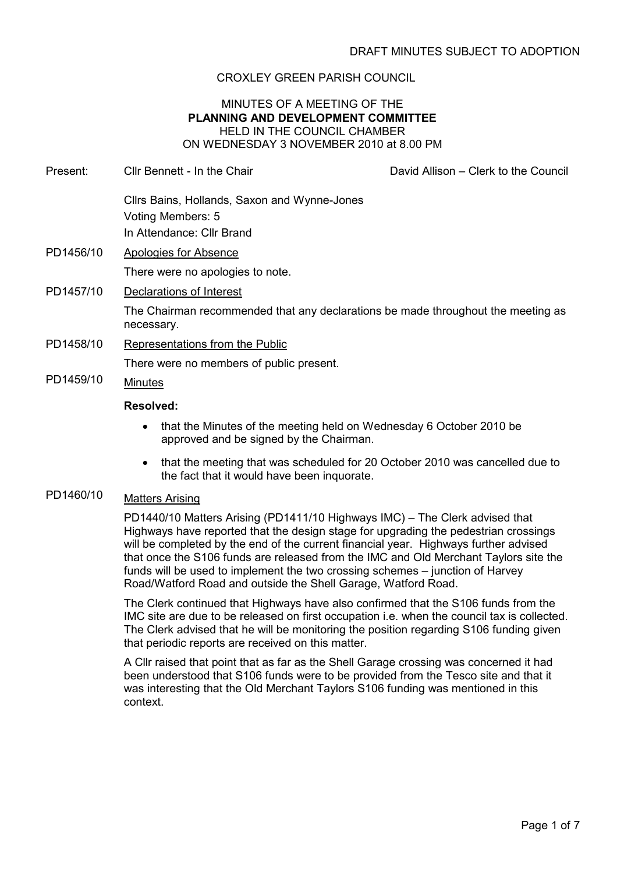## CROXLEY GREEN PARISH COUNCIL

### MINUTES OF A MEETING OF THE PLANNING AND DEVELOPMENT COMMITTEE HELD IN THE COUNCIL CHAMBER ON WEDNESDAY 3 NOVEMBER 2010 at 8.00 PM

- Present: Cllr Bennett In the Chair David Allison Clerk to the Council Cllrs Bains, Hollands, Saxon and Wynne-Jones Voting Members: 5 In Attendance: Cllr Brand PD1456/10 Apologies for Absence There were no apologies to note. PD1457/10 Declarations of Interest The Chairman recommended that any declarations be made throughout the meeting as necessary. PD1458/10 Representations from the Public There were no members of public present. PD1459/10 Minutes Resolved:
	- that the Minutes of the meeting held on Wednesday 6 October 2010 be approved and be signed by the Chairman.
	- that the meeting that was scheduled for 20 October 2010 was cancelled due to the fact that it would have been inquorate.

## PD1460/10 Matters Arising

PD1440/10 Matters Arising (PD1411/10 Highways IMC) – The Clerk advised that Highways have reported that the design stage for upgrading the pedestrian crossings will be completed by the end of the current financial year. Highways further advised that once the S106 funds are released from the IMC and Old Merchant Taylors site the funds will be used to implement the two crossing schemes – junction of Harvey Road/Watford Road and outside the Shell Garage, Watford Road.

The Clerk continued that Highways have also confirmed that the S106 funds from the IMC site are due to be released on first occupation i.e. when the council tax is collected. The Clerk advised that he will be monitoring the position regarding S106 funding given that periodic reports are received on this matter.

A Cllr raised that point that as far as the Shell Garage crossing was concerned it had been understood that S106 funds were to be provided from the Tesco site and that it was interesting that the Old Merchant Taylors S106 funding was mentioned in this context.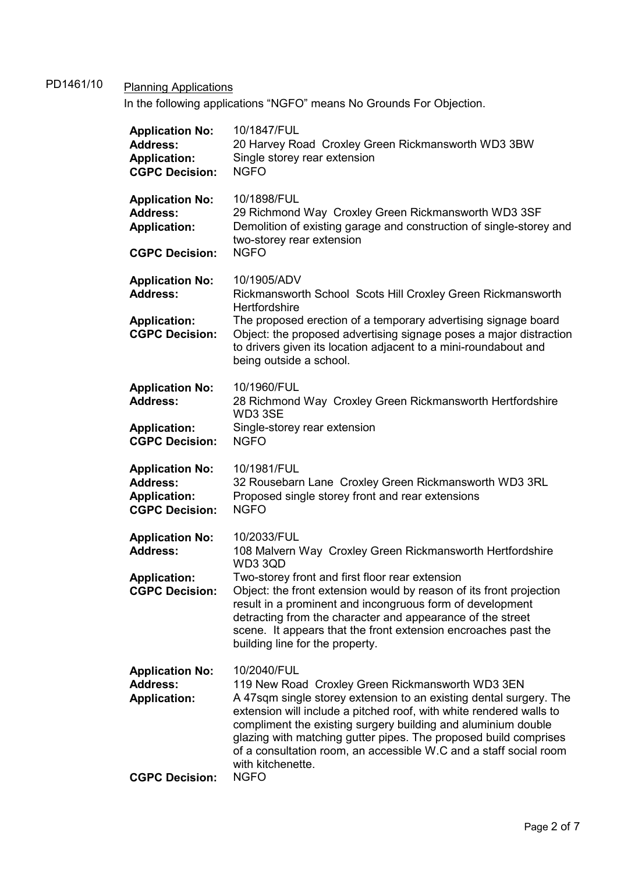# PD1461/10 Planning Applications

In the following applications "NGFO" means No Grounds For Objection.

| <b>Application No:</b><br><b>Address:</b><br><b>Application:</b><br><b>CGPC Decision:</b> | 10/1847/FUL<br>20 Harvey Road Croxley Green Rickmansworth WD3 3BW<br>Single storey rear extension<br><b>NGFO</b>                                                                                                                                                                                                                                                                                                                                           |
|-------------------------------------------------------------------------------------------|------------------------------------------------------------------------------------------------------------------------------------------------------------------------------------------------------------------------------------------------------------------------------------------------------------------------------------------------------------------------------------------------------------------------------------------------------------|
| <b>Application No:</b><br><b>Address:</b><br><b>Application:</b>                          | 10/1898/FUL<br>29 Richmond Way Croxley Green Rickmansworth WD3 3SF<br>Demolition of existing garage and construction of single-storey and<br>two-storey rear extension                                                                                                                                                                                                                                                                                     |
| <b>CGPC Decision:</b>                                                                     | <b>NGFO</b>                                                                                                                                                                                                                                                                                                                                                                                                                                                |
| <b>Application No:</b><br><b>Address:</b><br><b>Application:</b><br><b>CGPC Decision:</b> | 10/1905/ADV<br>Rickmansworth School Scots Hill Croxley Green Rickmansworth<br>Hertfordshire<br>The proposed erection of a temporary advertising signage board<br>Object: the proposed advertising signage poses a major distraction<br>to drivers given its location adjacent to a mini-roundabout and<br>being outside a school.                                                                                                                          |
| <b>Application No:</b><br><b>Address:</b>                                                 | 10/1960/FUL<br>28 Richmond Way Croxley Green Rickmansworth Hertfordshire<br>WD3 3SE                                                                                                                                                                                                                                                                                                                                                                        |
| <b>Application:</b><br><b>CGPC Decision:</b>                                              | Single-storey rear extension<br><b>NGFO</b>                                                                                                                                                                                                                                                                                                                                                                                                                |
| <b>Application No:</b><br><b>Address:</b><br><b>Application:</b><br><b>CGPC Decision:</b> | 10/1981/FUL<br>32 Rousebarn Lane Croxley Green Rickmansworth WD3 3RL<br>Proposed single storey front and rear extensions<br><b>NGFO</b>                                                                                                                                                                                                                                                                                                                    |
| <b>Application No:</b><br><b>Address:</b>                                                 | 10/2033/FUL<br>108 Malvern Way Croxley Green Rickmansworth Hertfordshire                                                                                                                                                                                                                                                                                                                                                                                   |
| <b>Application:</b><br><b>CGPC Decision:</b>                                              | WD33QD<br>Two-storey front and first floor rear extension<br>Object: the front extension would by reason of its front projection<br>result in a prominent and incongruous form of development<br>detracting from the character and appearance of the street<br>scene. It appears that the front extension encroaches past the<br>building line for the property.                                                                                           |
| <b>Application No:</b><br><b>Address:</b><br><b>Application:</b><br><b>CGPC Decision:</b> | 10/2040/FUL<br>119 New Road Croxley Green Rickmansworth WD3 3EN<br>A 47sqm single storey extension to an existing dental surgery. The<br>extension will include a pitched roof, with white rendered walls to<br>compliment the existing surgery building and aluminium double<br>glazing with matching gutter pipes. The proposed build comprises<br>of a consultation room, an accessible W.C and a staff social room<br>with kitchenette.<br><b>NGFO</b> |
|                                                                                           |                                                                                                                                                                                                                                                                                                                                                                                                                                                            |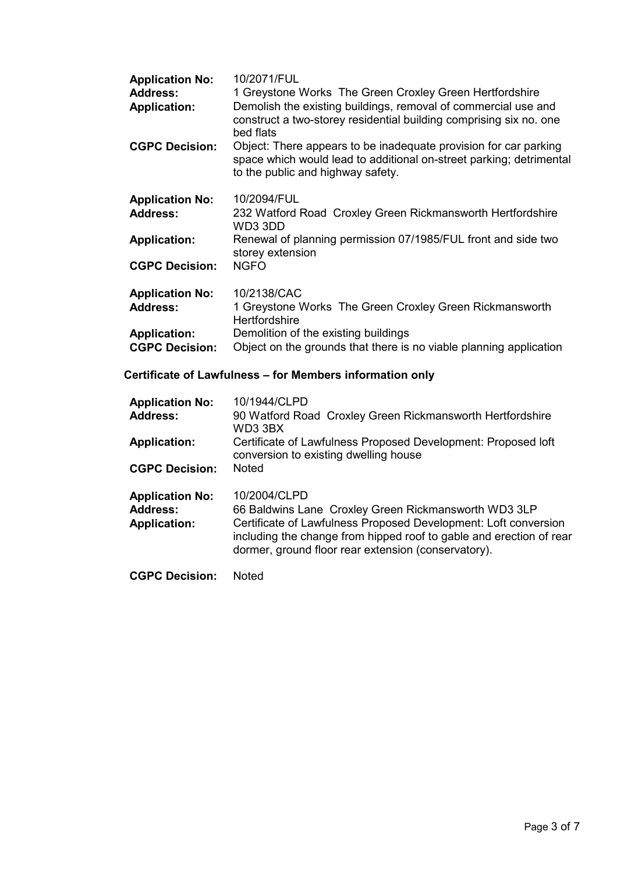| <b>Application No:</b> | 10/2071/FUL                                                                                                                                                                  |
|------------------------|------------------------------------------------------------------------------------------------------------------------------------------------------------------------------|
| <b>Address:</b>        | 1 Greystone Works The Green Croxley Green Hertfordshire                                                                                                                      |
| <b>Application:</b>    | Demolish the existing buildings, removal of commercial use and<br>construct a two-storey residential building comprising six no. one<br>bed flats                            |
| <b>CGPC Decision:</b>  | Object: There appears to be inadequate provision for car parking<br>space which would lead to additional on-street parking; detrimental<br>to the public and highway safety. |
| <b>Application No:</b> | 10/2094/FUL                                                                                                                                                                  |
| <b>Address:</b>        | 232 Watford Road Croxley Green Rickmansworth Hertfordshire<br>WD3 3DD                                                                                                        |
| <b>Application:</b>    | Renewal of planning permission 07/1985/FUL front and side two<br>storey extension                                                                                            |
| <b>CGPC Decision:</b>  | <b>NGFO</b>                                                                                                                                                                  |
| <b>Application No:</b> | 10/2138/CAC                                                                                                                                                                  |
| <b>Address:</b>        | 1 Greystone Works The Green Croxley Green Rickmansworth<br><b>Hertfordshire</b>                                                                                              |
| <b>Application:</b>    | Demolition of the existing buildings                                                                                                                                         |
| <b>CGPC Decision:</b>  | Object on the grounds that there is no viable planning application                                                                                                           |

# Certificate of Lawfulness – for Members information only

| <b>Application No:</b><br><b>Address:</b>                        | 10/1944/CLPD<br>90 Watford Road Croxley Green Rickmansworth Hertfordshire<br>WD3 3BX                                                                                                                                                                                  |
|------------------------------------------------------------------|-----------------------------------------------------------------------------------------------------------------------------------------------------------------------------------------------------------------------------------------------------------------------|
| <b>Application:</b>                                              | Certificate of Lawfulness Proposed Development: Proposed loft<br>conversion to existing dwelling house                                                                                                                                                                |
| <b>CGPC Decision:</b>                                            | <b>Noted</b>                                                                                                                                                                                                                                                          |
| <b>Application No:</b><br><b>Address:</b><br><b>Application:</b> | 10/2004/CLPD<br>66 Baldwins Lane Croxley Green Rickmansworth WD3 3LP<br>Certificate of Lawfulness Proposed Development: Loft conversion<br>including the change from hipped roof to gable and erection of rear<br>dormer, ground floor rear extension (conservatory). |
| <b>CGPC Decision:</b>                                            | Noted                                                                                                                                                                                                                                                                 |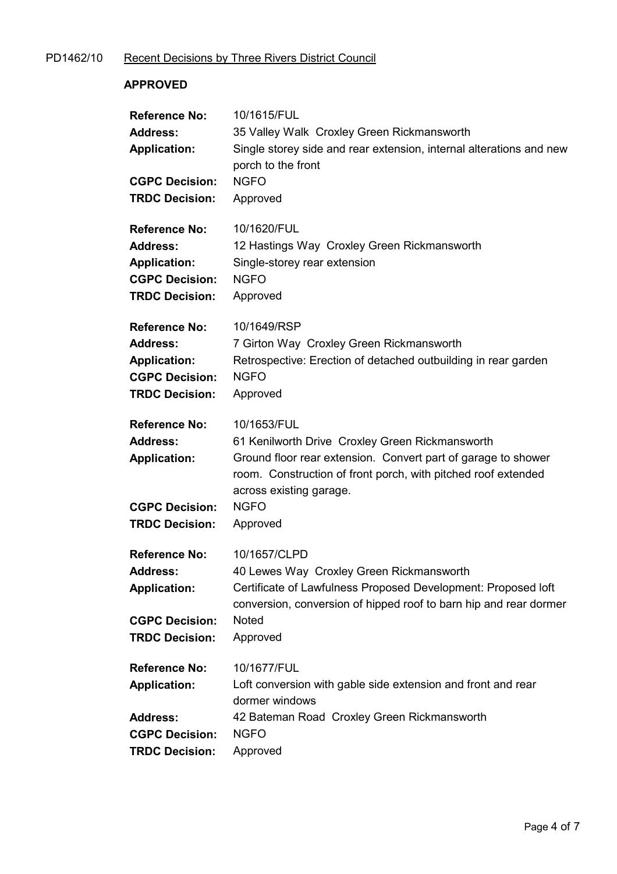# PD1462/10 Recent Decisions by Three Rivers District Council

## APPROVED

| <b>Reference No:</b><br><b>Address:</b><br><b>Application:</b><br><b>CGPC Decision:</b><br><b>TRDC Decision:</b> | 10/1615/FUL<br>35 Valley Walk Croxley Green Rickmansworth<br>Single storey side and rear extension, internal alterations and new<br>porch to the front<br><b>NGFO</b><br>Approved                                                                      |
|------------------------------------------------------------------------------------------------------------------|--------------------------------------------------------------------------------------------------------------------------------------------------------------------------------------------------------------------------------------------------------|
| <b>Reference No:</b><br><b>Address:</b><br><b>Application:</b><br><b>CGPC Decision:</b><br><b>TRDC Decision:</b> | 10/1620/FUL<br>12 Hastings Way Croxley Green Rickmansworth<br>Single-storey rear extension<br><b>NGFO</b><br>Approved                                                                                                                                  |
| <b>Reference No:</b><br><b>Address:</b><br><b>Application:</b><br><b>CGPC Decision:</b><br><b>TRDC Decision:</b> | 10/1649/RSP<br>7 Girton Way Croxley Green Rickmansworth<br>Retrospective: Erection of detached outbuilding in rear garden<br><b>NGFO</b><br>Approved                                                                                                   |
| <b>Reference No:</b><br><b>Address:</b><br><b>Application:</b><br><b>CGPC Decision:</b><br><b>TRDC Decision:</b> | 10/1653/FUL<br>61 Kenilworth Drive Croxley Green Rickmansworth<br>Ground floor rear extension. Convert part of garage to shower<br>room. Construction of front porch, with pitched roof extended<br>across existing garage.<br><b>NGFO</b><br>Approved |
| <b>Reference No:</b><br><b>Address:</b><br><b>Application:</b><br><b>CGPC Decision:</b><br><b>TRDC Decision:</b> | 10/1657/CLPD<br>40 Lewes Way Croxley Green Rickmansworth<br>Certificate of Lawfulness Proposed Development: Proposed loft<br>conversion, conversion of hipped roof to barn hip and rear dormer<br><b>Noted</b><br>Approved                             |
| <b>Reference No:</b><br><b>Application:</b><br><b>Address:</b><br><b>CGPC Decision:</b><br><b>TRDC Decision:</b> | 10/1677/FUL<br>Loft conversion with gable side extension and front and rear<br>dormer windows<br>42 Bateman Road Croxley Green Rickmansworth<br><b>NGFO</b><br>Approved                                                                                |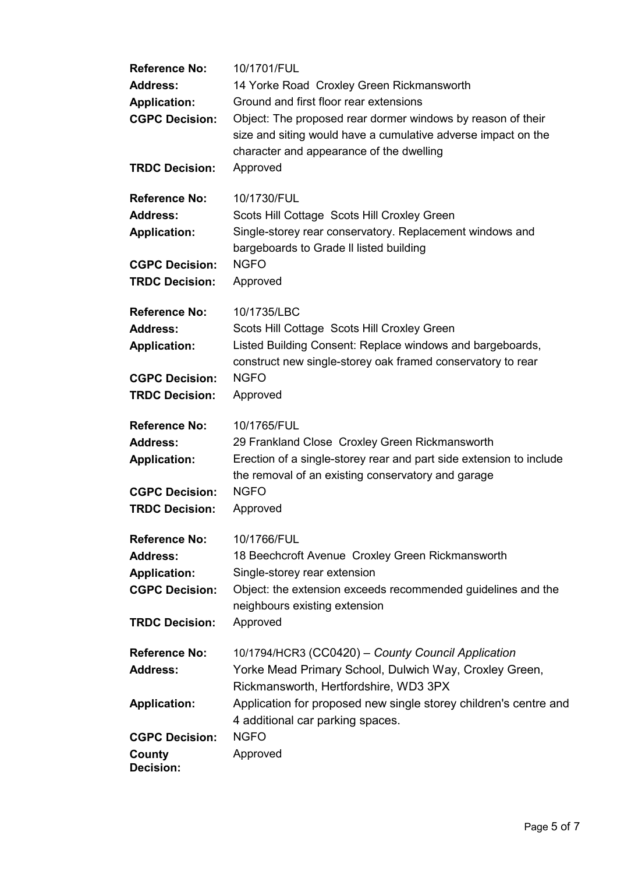| <b>Reference No:</b><br><b>Address:</b><br><b>Application:</b><br><b>CGPC Decision:</b><br><b>TRDC Decision:</b> | 10/1701/FUL<br>14 Yorke Road Croxley Green Rickmansworth<br>Ground and first floor rear extensions<br>Object: The proposed rear dormer windows by reason of their<br>size and siting would have a cumulative adverse impact on the<br>character and appearance of the dwelling<br>Approved |
|------------------------------------------------------------------------------------------------------------------|--------------------------------------------------------------------------------------------------------------------------------------------------------------------------------------------------------------------------------------------------------------------------------------------|
| <b>Reference No:</b><br><b>Address:</b><br><b>Application:</b><br><b>CGPC Decision:</b><br><b>TRDC Decision:</b> | 10/1730/FUL<br>Scots Hill Cottage Scots Hill Croxley Green<br>Single-storey rear conservatory. Replacement windows and<br>bargeboards to Grade II listed building<br><b>NGFO</b><br>Approved                                                                                               |
| <b>Reference No:</b><br><b>Address:</b><br><b>Application:</b><br><b>CGPC Decision:</b><br><b>TRDC Decision:</b> | 10/1735/LBC<br>Scots Hill Cottage Scots Hill Croxley Green<br>Listed Building Consent: Replace windows and bargeboards,<br>construct new single-storey oak framed conservatory to rear<br><b>NGFO</b><br>Approved                                                                          |
| <b>Reference No:</b><br><b>Address:</b><br><b>Application:</b><br><b>CGPC Decision:</b><br><b>TRDC Decision:</b> | 10/1765/FUL<br>29 Frankland Close Croxley Green Rickmansworth<br>Erection of a single-storey rear and part side extension to include<br>the removal of an existing conservatory and garage<br><b>NGFO</b><br>Approved                                                                      |
| <b>Reference No:</b><br><b>Address:</b><br><b>Application:</b><br><b>CGPC Decision:</b><br><b>TRDC Decision:</b> | 10/1766/FUL<br>18 Beechcroft Avenue Croxley Green Rickmansworth<br>Single-storey rear extension<br>Object: the extension exceeds recommended guidelines and the<br>neighbours existing extension<br>Approved                                                                               |
| <b>Reference No:</b><br><b>Address:</b><br><b>Application:</b><br><b>CGPC Decision:</b><br>County                | 10/1794/HCR3 (CC0420) - County Council Application<br>Yorke Mead Primary School, Dulwich Way, Croxley Green,<br>Rickmansworth, Hertfordshire, WD3 3PX<br>Application for proposed new single storey children's centre and<br>4 additional car parking spaces.<br><b>NGFO</b><br>Approved   |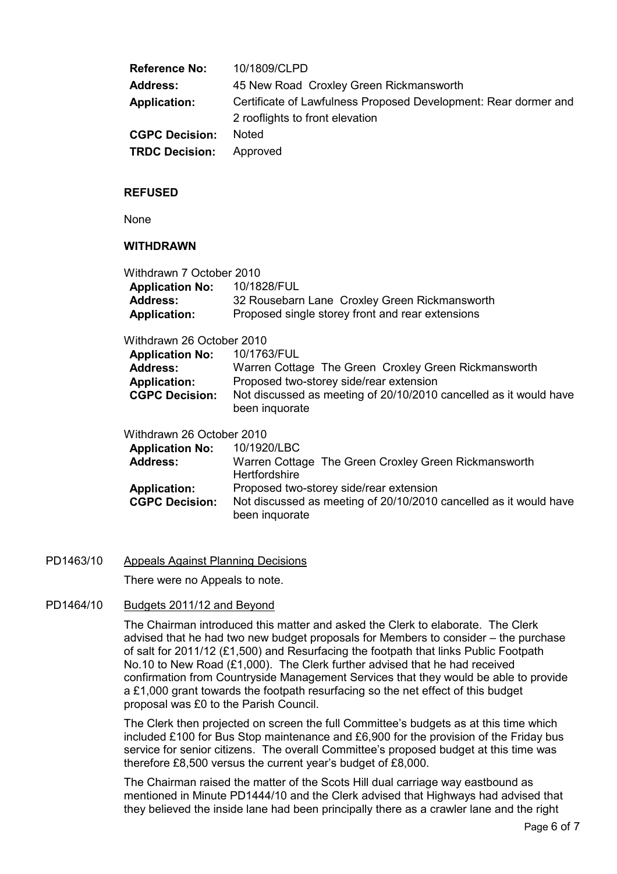| <b>Reference No:</b>  | 10/1809/CLPD                                                                                       |
|-----------------------|----------------------------------------------------------------------------------------------------|
| <b>Address:</b>       | 45 New Road Croxley Green Rickmansworth                                                            |
| <b>Application:</b>   | Certificate of Lawfulness Proposed Development: Rear dormer and<br>2 rooflights to front elevation |
| <b>CGPC Decision:</b> | <b>Noted</b>                                                                                       |
| <b>TRDC Decision:</b> | Approved                                                                                           |

#### REFUSED

None

#### WITHDRAWN

| Withdrawn 7 October 2010  |                                                                                     |
|---------------------------|-------------------------------------------------------------------------------------|
| <b>Application No:</b>    | 10/1828/FUL                                                                         |
| <b>Address:</b>           | 32 Rousebarn Lane Croxley Green Rickmansworth                                       |
| <b>Application:</b>       | Proposed single storey front and rear extensions                                    |
| Withdrawn 26 October 2010 |                                                                                     |
| <b>Application No:</b>    | 10/1763/FUL                                                                         |
| <b>Address:</b>           | Warren Cottage The Green Croxley Green Rickmansworth                                |
| <b>Application:</b>       | Proposed two-storey side/rear extension                                             |
| <b>CGPC Decision:</b>     | Not discussed as meeting of 20/10/2010 cancelled as it would have<br>been inquorate |
| Withdrawn 26 October 2010 |                                                                                     |
| <b>Application No:</b>    | 10/1920/LBC                                                                         |
| <b>Address:</b>           | Warren Cottage The Green Croxley Green Rickmansworth<br><b>Hertfordshire</b>        |
| <b>Application:</b>       | Proposed two-storey side/rear extension                                             |
| <b>CGPC Decision:</b>     | Not discussed as meeting of 20/10/2010 cancelled as it would have                   |

#### PD1463/10 Appeals Against Planning Decisions

There were no Appeals to note.

been inquorate

#### PD1464/10 Budgets 2011/12 and Beyond

The Chairman introduced this matter and asked the Clerk to elaborate. The Clerk advised that he had two new budget proposals for Members to consider – the purchase of salt for 2011/12 (£1,500) and Resurfacing the footpath that links Public Footpath No.10 to New Road (£1,000). The Clerk further advised that he had received confirmation from Countryside Management Services that they would be able to provide a £1,000 grant towards the footpath resurfacing so the net effect of this budget proposal was £0 to the Parish Council.

The Clerk then projected on screen the full Committee's budgets as at this time which included £100 for Bus Stop maintenance and £6,900 for the provision of the Friday bus service for senior citizens. The overall Committee's proposed budget at this time was therefore £8,500 versus the current year's budget of £8,000.

The Chairman raised the matter of the Scots Hill dual carriage way eastbound as mentioned in Minute PD1444/10 and the Clerk advised that Highways had advised that they believed the inside lane had been principally there as a crawler lane and the right